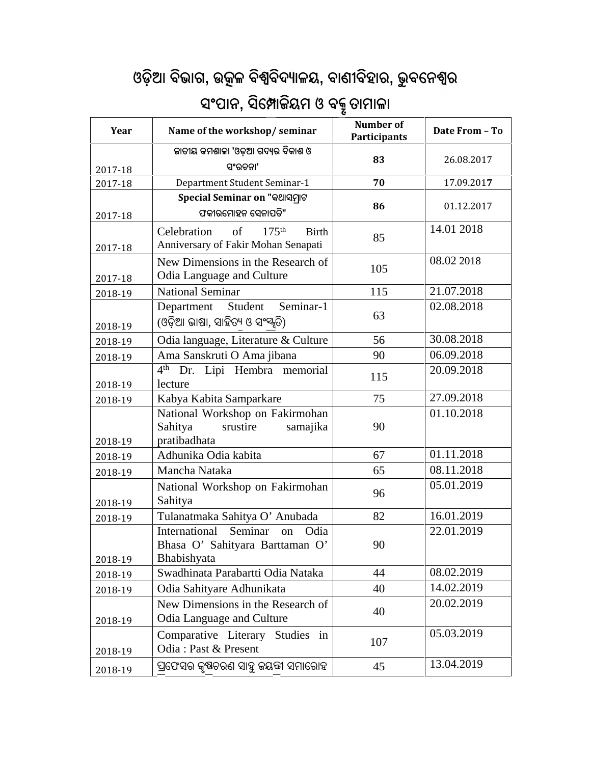## **ଓଡ଼ିଆ ବିଭାଗ, ଉ ଳ ବିବିଦ ାଳୟ, ବାଣୀବିହାର, ଭୁ ବେନ <sup>ର</sup>**

| ଓଡ଼ିଆ ବିଭାଗ, ଉତ୍କଳ ବିଶ୍ୱବିଦ୍ୟାଳୟ, ବାଣୀବିହାର, ଭୁବନେଶ୍ୱର<br>ସଂପାନ, ସିମ୍ପୋକିୟମ ଓ ବକ୍ରୁ ତାମାଳା |                                                                                               |                           |                |  |  |
|--------------------------------------------------------------------------------------------|-----------------------------------------------------------------------------------------------|---------------------------|----------------|--|--|
| Year                                                                                       | Name of the workshop/seminar                                                                  | Number of<br>Participants | Date From - To |  |  |
| 2017-18                                                                                    | କାତୀୟ କମଶାଳା 'ଓଡ଼ିଆ ଗଦ୍ୟର ବିକାଶ ଓ<br>ସଂରଚନା'                                                  | 83                        | 26.08.2017     |  |  |
| 2017-18                                                                                    | Department Student Seminar-1                                                                  | 70                        | 17.09.2017     |  |  |
| 2017-18                                                                                    | Special Seminar on "କଥାସମ୍ରାଟ<br>ଫକୀରମୋହନ ସେନାପତି"                                            | 86                        | 01.12.2017     |  |  |
| 2017-18                                                                                    | of<br>175 <sup>th</sup><br>Celebration<br><b>Birth</b><br>Anniversary of Fakir Mohan Senapati | 85                        | 14.01 2018     |  |  |
| 2017-18                                                                                    | New Dimensions in the Research of<br>Odia Language and Culture                                | 105                       | 08.02 2018     |  |  |
| 2018-19                                                                                    | <b>National Seminar</b>                                                                       | 115                       | 21.07.2018     |  |  |
| 2018-19                                                                                    | Seminar-1<br>Student<br>Department<br>(ଓଡ଼ିଆ ଭାଷା, ସାହିତ୍ୟ ଓ ସଂ <sup>ସ୍କୃ</sup> ତି)           | 63                        | 02.08.2018     |  |  |
| 2018-19                                                                                    | Odia language, Literature & Culture                                                           | 56                        | 30.08.2018     |  |  |
| 2018-19                                                                                    | Ama Sanskruti O Ama jibana                                                                    | 90                        | 06.09.2018     |  |  |
| 2018-19                                                                                    | 4 <sup>th</sup><br>Dr. Lipi Hembra memorial<br>lecture                                        | 115                       | 20.09.2018     |  |  |
| 2018-19                                                                                    | Kabya Kabita Samparkare                                                                       | 75                        | 27.09.2018     |  |  |
| 2018-19                                                                                    | National Workshop on Fakirmohan<br>Sahitya<br>srustire<br>samajika<br>pratibadhata            | 90                        | 01.10.2018     |  |  |
| 2018-19                                                                                    | Adhunika Odia kabita                                                                          | 67                        | 01.11.2018     |  |  |
| 2018-19                                                                                    | Mancha Nataka                                                                                 | 65                        | 08.11.2018     |  |  |
| 2018-19                                                                                    | National Workshop on Fakirmohan<br>Sahitya                                                    | 96                        | 05.01.2019     |  |  |
| 2018-19                                                                                    | Tulanatmaka Sahitya O' Anubada                                                                | 82                        | 16.01.2019     |  |  |
| 2018-19                                                                                    | International<br>Seminar<br>Odia<br>on<br>Bhasa O' Sahityara Barttaman O'<br>Bhabishyata      | 90                        | 22.01.2019     |  |  |
| 2018-19                                                                                    | Swadhinata Parabartti Odia Nataka                                                             | 44                        | 08.02.2019     |  |  |
| 2018-19                                                                                    | Odia Sahityare Adhunikata                                                                     | 40                        | 14.02.2019     |  |  |
| 2018-19                                                                                    | New Dimensions in the Research of<br>Odia Language and Culture                                | 40                        | 20.02.2019     |  |  |
| 2018-19                                                                                    | Comparative Literary Studies in<br>Odia: Past & Present                                       | 107                       | 05.03.2019     |  |  |
| 2018-19                                                                                    | ପ୍ରଫେସର କୃଷ୍ଣଚରଣ ସାହୁ ଜୟଙ୍ଗ ସମାରୋହ                                                            | 45                        | 13.04.2019     |  |  |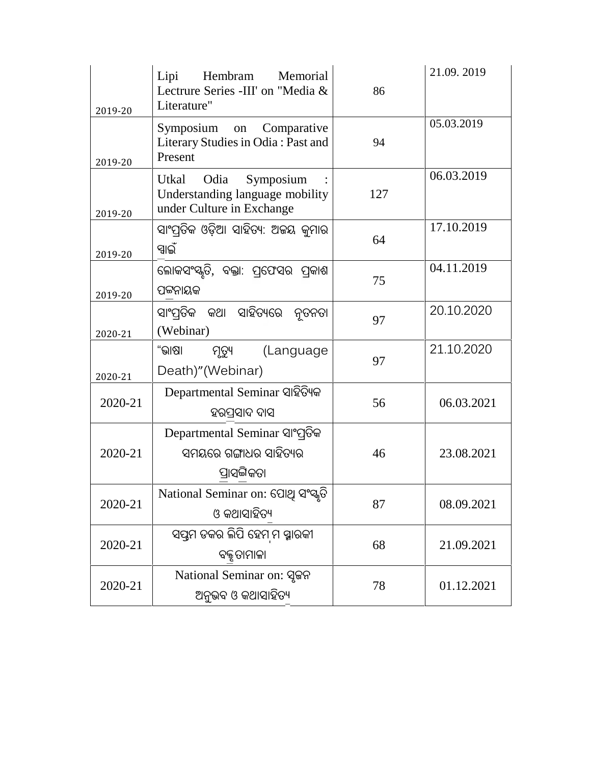| 2019-20 | Lipi<br>Hembram<br>Memorial<br>Lectrure Series -III' on "Media &<br>Literature"            | 86  | 21.09.2019 |
|---------|--------------------------------------------------------------------------------------------|-----|------------|
| 2019-20 | Symposium on<br>Comparative<br>Literary Studies in Odia: Past and<br>Present               | 94  | 05.03.2019 |
| 2019-20 | Utkal<br>Odia<br>Symposium<br>Understanding language mobility<br>under Culture in Exchange | 127 | 06.03.2019 |
| 2019-20 | ସାଂପ୍ରତିକ ଓଡ଼ିଆ ସାହିତ୍ୟ: ଅଜୟ କୁମାର<br>ସ୍ୱାଇଁ                                               | 64  | 17.10.2019 |
| 2019-20 | ଲୋକସଂସ୍କୃତି, ବକ୍ତା: ପ୍ରଫେସର ପ୍ରକାଶ<br>ପଟ୍ଟନାୟକ                                             | 75  | 04.11.2019 |
| 2020-21 | ସାଂପ୍ରତିକ କଥା ସାହିତ୍ୟରେ ନ୍ୱତନତା<br>(Webinar)                                               | 97  | 20.10.2020 |
| 2020-21 | "ଭାଷା<br>ମୃତ୍ୟୁ<br>(Language<br>Death)"(Webinar)                                           | 97  | 21.10.2020 |
| 2020-21 | Departmental Seminar ସାହିତ୍ୟିକ<br>ହରପ୍ରସାଦ ଦାସ                                             | 56  | 06.03.2021 |
| 2020-21 | Departmental Seminar ସାଂପ୍ରତିକ<br>ସମୟରେ ଗଙ୍ଗାଧର ସାହିତ୍ୟର<br>ପ୍ରାସଙ୍ଗିକତା                   | 46  | 23.08.2021 |
| 2020-21 | National Seminar on: ପୋଥି ସଂସ୍କୃତି<br>ଓ କଥାସାହିତ୍ୟ                                         | 87  | 08.09.2021 |
| 2020-21 | ସପ୍ତମ ଡକର ଲିପି ହେମ ମ ସ୍ମାରକୀ<br>ବକ୍ତୃତାମାଳା                                                | 68  | 21.09.2021 |
| 2020-21 | National Seminar on: ସୂଜନ<br>ଅନୁଭବ ଓ କଥାସାହିତ୍ୟ                                            | 78  | 01.12.2021 |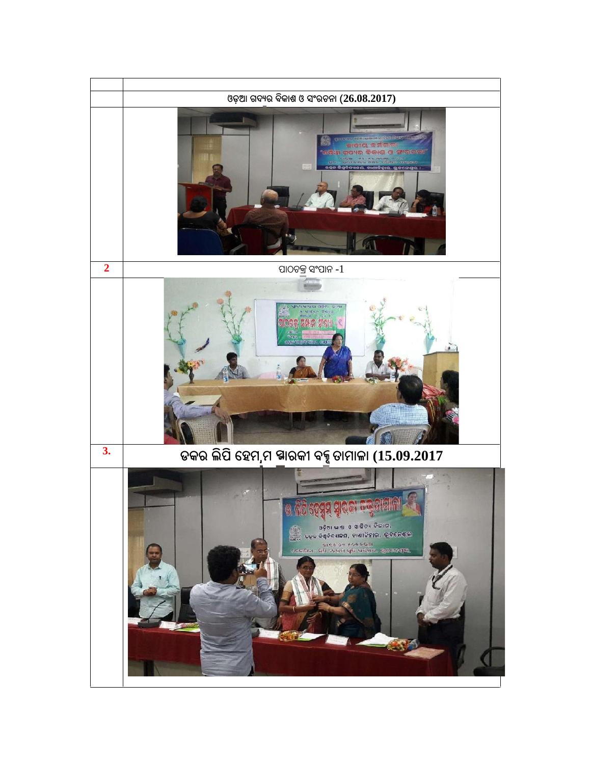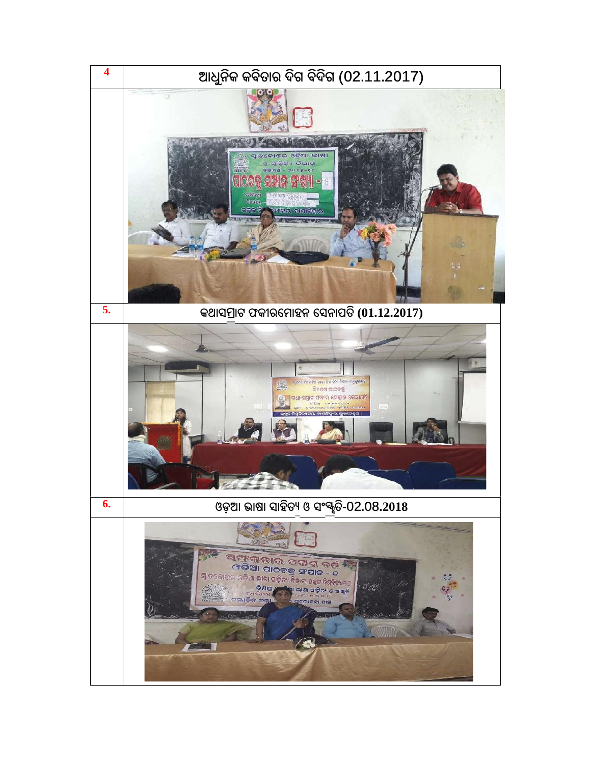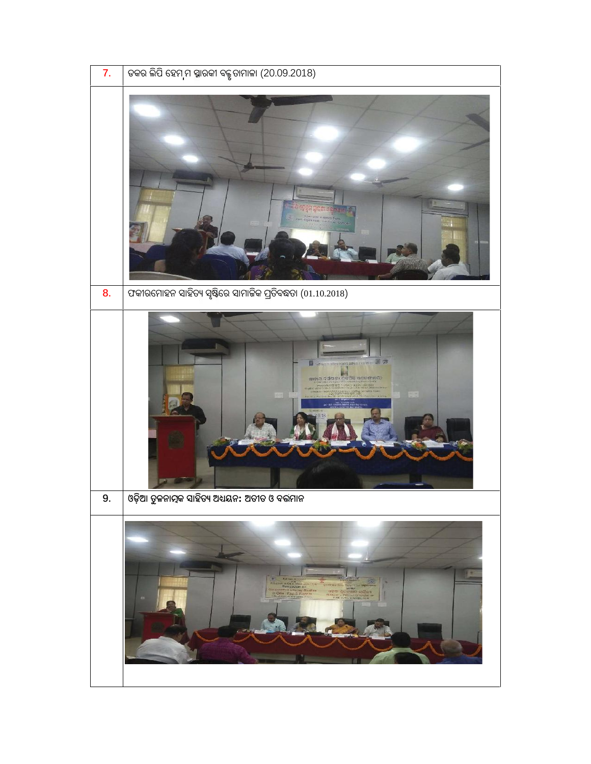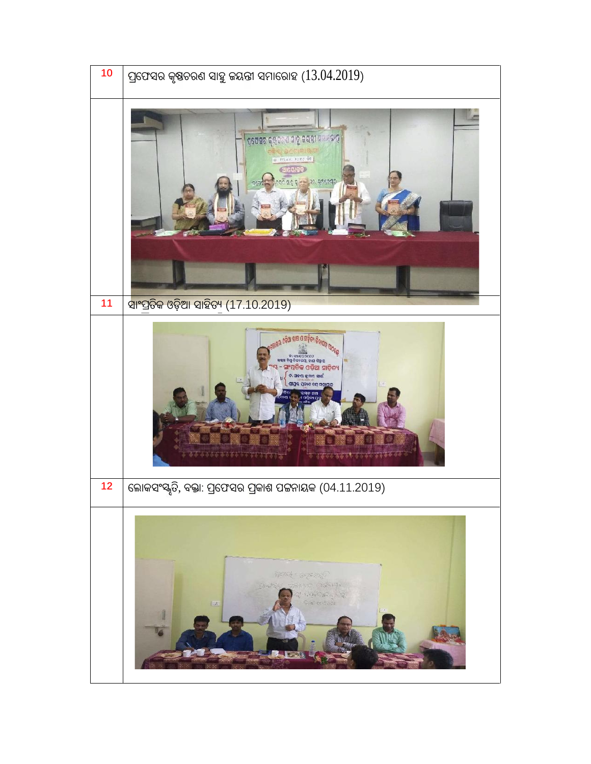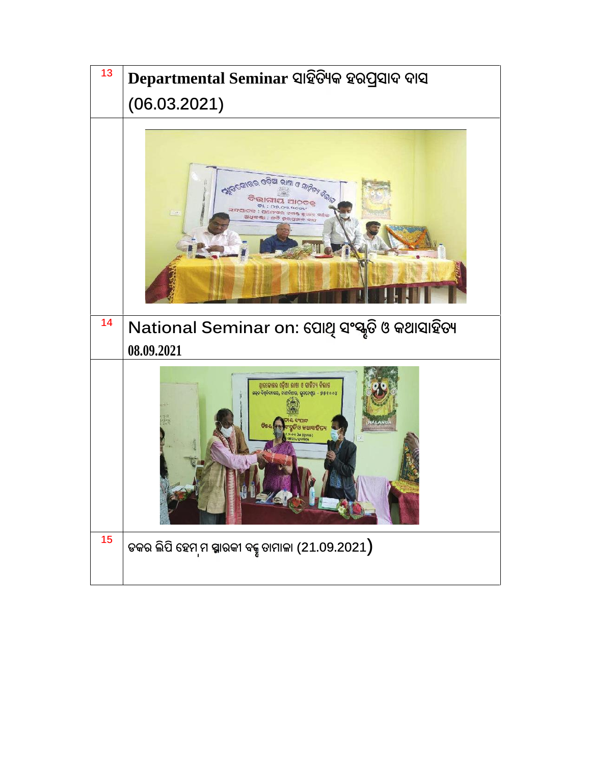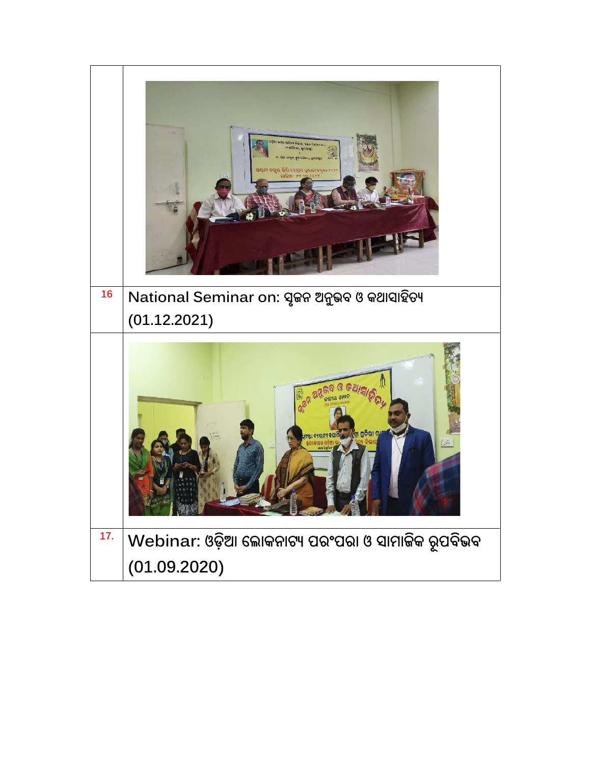